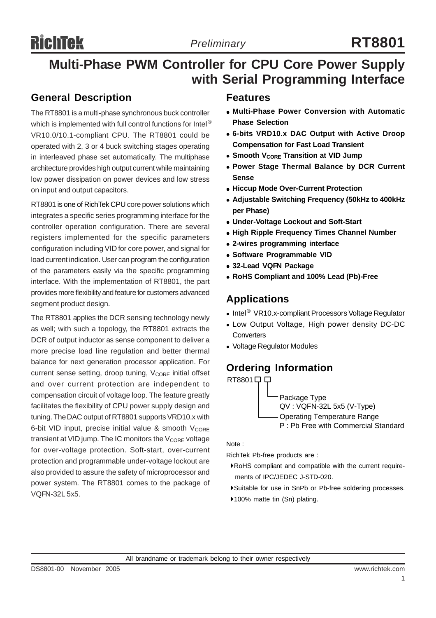## **Multi-Phase PWM Controller for CPU Core Power Supply with Serial Programming Interface**

### **General Description**

The RT8801 is a multi-phase synchronous buck controller which is implemented with full control functions for Intel<sup>®</sup> VR10.0/10.1-compliant CPU. The RT8801 could be operated with 2, 3 or 4 buck switching stages operating in interleaved phase set automatically. The multiphase architecture provides high output current while maintaining low power dissipation on power devices and low stress on input and output capacitors.

RT8801 is one of RichTek CPU core power solutions which integrates a specific series programming interface for the controller operation configuration. There are several registers implemented for the specific parameters configuration including VID for core power, and signal for load current indication. User can program the configuration of the parameters easily via the specific programming interface. With the implementation of RT8801, the part provides more flexibility and feature for customers advanced segment product design.

The RT8801 applies the DCR sensing technology newly as well; with such a topology, the RT8801 extracts the DCR of output inductor as sense component to deliver a more precise load line regulation and better thermal balance for next generation processor application. For current sense setting, droop tuning, V<sub>CORE</sub> initial offset and over current protection are independent to compensation circuit of voltage loop. The feature greatly facilitates the flexibility of CPU power supply design and tuning. The DAC output of RT8801 supports VRD10.x with 6-bit VID input, precise initial value & smooth  $V_{\text{CORE}}$ transient at VID jump. The IC monitors the  $V_{\text{CORE}}$  voltage for over-voltage protection. Soft-start, over-current protection and programmable under-voltage lockout are also provided to assure the safety of microprocessor and power system. The RT8801 comes to the package of VQFN-32L 5x5.

### **Features**

- <sup>z</sup> **Multi-Phase Power Conversion with Automatic Phase Selection**
- <sup>z</sup> **6-bits VRD10.x DAC Output with Active Droop Compensation for Fast Load Transient**
- **Smooth VCORE Transition at VID Jump**
- **Power Stage Thermal Balance by DCR Current Sense**
- **Hiccup Mode Over-Current Protection**
- <sup>z</sup> **Adjustable Switching Frequency (50kHz to 400kHz per Phase)**
- **Under-Voltage Lockout and Soft-Start**
- **High Ripple Frequency Times Channel Number**
- <sup>z</sup> **2-wires programming interface**
- **Software Programmable VID**
- $\bullet$  **32-Lead VQFN Package**
- <sup>z</sup> **RoHS Compliant and 100% Lead (Pb)-Free**

### **Applications**

- Intel<sup>®</sup> VR10.x-compliant Processors Voltage Regulator
- Low Output Voltage, High power density DC-DC **Converters**
- Voltage Regulator Modules

### **Ordering Information**



Note :

RichTek Pb-free products are :

- `RoHS compliant and compatible with the current require ments of IPC/JEDEC J-STD-020.
- `Suitable for use in SnPb or Pb-free soldering processes.
- ▶100% matte tin (Sn) plating.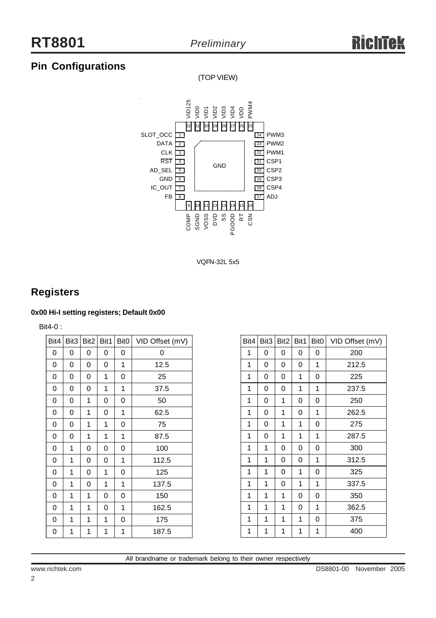### **Pin Configurations**

(TOP VIEW)



VQFN-32L 5x5

### **Registers**

#### **0x00 Hi-I setting registers; Default 0x00**

Bit4-0 :

| Bit4 | Bit3 | Bit2 | Bit1 | Bit <sub>0</sub> | VID Offset (mV) |
|------|------|------|------|------------------|-----------------|
| 0    | 0    | 0    | 0    | 0                | 0               |
| 0    | 0    | 0    | 0    | 1                | 12.5            |
| 0    | 0    | 0    | 1    | 0                | 25              |
| 0    | 0    | 0    | 1    | 1                | 37.5            |
| 0    | 0    | 1    | 0    | 0                | 50              |
| 0    | 0    | 1    | 0    | 1                | 62.5            |
| 0    | 0    | 1    | 1    | 0                | 75              |
| 0    | 0    | 1    | 1    | 1                | 87.5            |
| 0    | 1    | 0    | 0    | 0                | 100             |
| 0    | 1    | 0    | 0    | 1                | 112.5           |
| 0    | 1    | 0    | 1    | 0                | 125             |
| 0    | 1    | 0    | 1    | 1                | 137.5           |
| 0    | 1    | 1    | 0    | 0                | 150             |
| 0    | 1    | 1    | 0    | 1                | 162.5           |
| 0    | 1    | 1    | 1    | 0                | 175             |
| 0    | 1    | 1    | 1    | 1                | 187.5           |

| Bit4 | Bit3 |   | $Bit2$ Bit1 | Bit <sub>0</sub> | VID Offset (mV) |
|------|------|---|-------------|------------------|-----------------|
| 1    | 0    | 0 | 0           | 0                | 200             |
| 1    | 0    | 0 | 0           | 1                | 212.5           |
| 1    | 0    | 0 | 1           | 0                | 225             |
| 1    | 0    | 0 | 1           | 1                | 237.5           |
| 1    | 0    | 1 | 0           | 0                | 250             |
| 1    | 0    | 1 | 0           | 1                | 262.5           |
| 1    | 0    | 1 | 1           | 0                | 275             |
| 1    | 0    | 1 | 1           | 1                | 287.5           |
| 1    | 1    | 0 | 0           | 0                | 300             |
| 1    | 1    | 0 | 0           | 1                | 312.5           |
| 1    | 1    | 0 | 1           | 0                | 325             |
| 1    | 1    | 0 | 1           | 1                | 337.5           |
| 1    | 1    | 1 | 0           | 0                | 350             |
| 1    | 1    | 1 | 0           | 1                | 362.5           |
| 1    | 1    | 1 | 1           | 0                | 375             |
| 1    | 1    | 1 | 1           | 1                | 400             |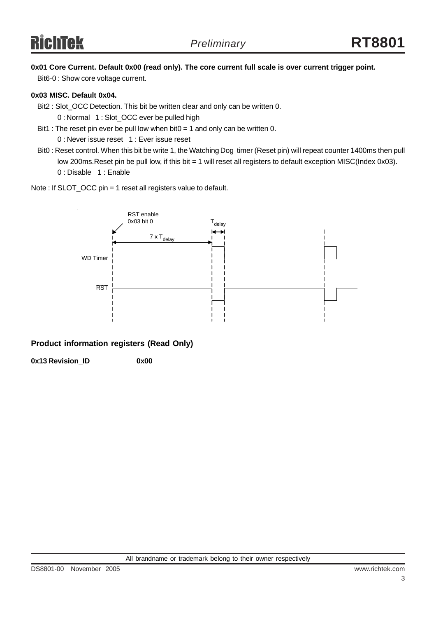### **0x01 Core Current. Default 0x00 (read only). The core current full scale is over current trigger point.**

Bit6-0 : Show core voltage current.

#### **0x03 MISC. Default 0x04.**

Bit2 : Slot\_OCC Detection. This bit be written clear and only can be written 0.

0 : Normal 1 : Slot\_OCC ever be pulled high

- Bit1 : The reset pin ever be pull low when bit0 = 1 and only can be written 0. 0 : Never issue reset 1 : Ever issue reset
- Bit0 : Reset control. When this bit be write 1, the Watching Dog timer (Reset pin) will repeat counter 1400ms then pull low 200ms. Reset pin be pull low, if this bit = 1 will reset all registers to default exception MISC(Index 0x03). 0 : Disable 1 : Enable
- Note : If SLOT\_OCC pin = 1 reset all registers value to default.



### **Product information registers (Read Only)**

**0x13 Revision\_ID 0x00**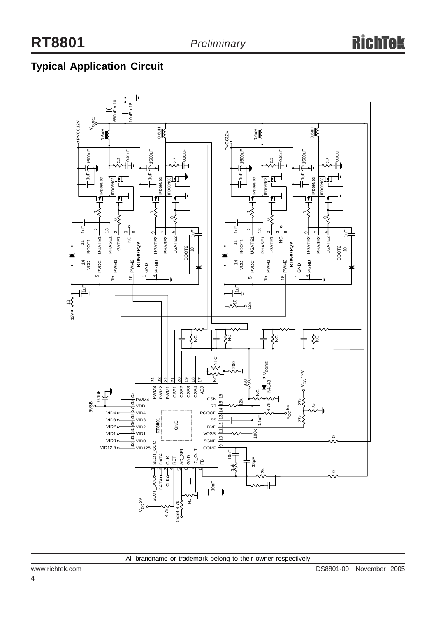### **Typical Application Circuit**

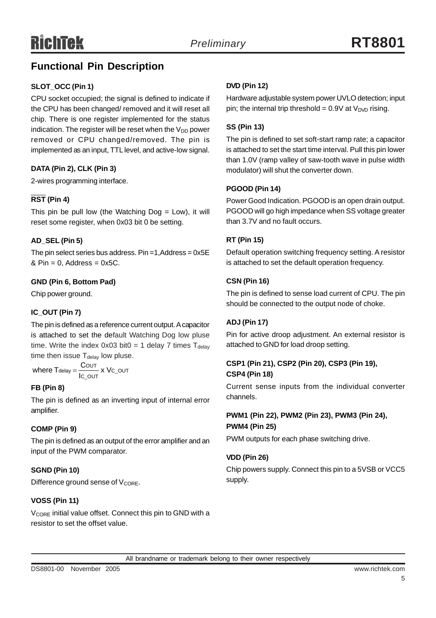### **Functional Pin Description**

### **SLOT\_OCC (Pin 1)**

CPU socket occupied; the signal is defined to indicate if the CPU has been changed/ removed and it will reset all chip. There is one register implemented for the status indication. The register will be reset when the  $V_{DD}$  power removed or CPU changed/removed. The pin is implemented as an input, TTL level, and active-low signal.

### **DATA (Pin 2), CLK (Pin 3)**

2-wires programming interface.

### **RST (Pin 4)**

This pin be pull low (the Watching  $Dog = Low$ ), it will reset some register, when 0x03 bit 0 be setting.

### **AD\_SEL (Pin 5)**

The pin select series bus address. Pin =1, $Add$ ress = 0x5E  $& Pin = 0$ , Address = 0x5C.

### **GND (Pin 6, Bottom Pad)**

Chip power ground.

### **IC\_OUT (Pin 7)**

The pin is defined as a reference current output. A capacitor is attached to set the default Watching Dog low pluse time. Write the index  $0x03$  bit $0 = 1$  delay 7 times  $T_{\text{delay}}$ time then issue  $T_{delay}$  low pluse.

——— x Vc\_o∪т<br>c\_o∪т where  $T_{\text{delay}} = \frac{C_{\text{OUT}}}{I_{\text{C\_OUT}}} \times V$ 

### **FB (Pin 8)**

The pin is defined as an inverting input of internal error amplifier.

### **COMP (Pin 9)**

The pin is defined as an output of the error amplifier and an input of the PWM comparator.

### **SGND (Pin 10)**

Difference ground sense of V<sub>CORE</sub>.

### **VOSS (Pin 11)**

V<sub>CORE</sub> initial value offset. Connect this pin to GND with a resistor to set the offset value.

### **DVD (Pin 12)**

Hardware adjustable system power UVLO detection; input pin; the internal trip threshold =  $0.9V$  at  $V<sub>DVD</sub>$  rising.

### **SS (Pin 13)**

The pin is defined to set soft-start ramp rate; a capacitor is attached to set the start time interval. Pull this pin lower than 1.0V (ramp valley of saw-tooth wave in pulse width modulator) will shut the converter down.

### **PGOOD (Pin 14)**

Power Good Indication. PGOOD is an open drain output. PGOOD will go high impedance when SS voltage greater than 3.7V and no fault occurs.

### **RT (Pin 15)**

Default operation switching frequency setting. A resistor is attached to set the default operation frequency.

### **CSN (Pin 16)**

The pin is defined to sense load current of CPU. The pin should be connected to the output node of choke.

### **ADJ (Pin 17)**

Pin for active droop adjustment. An external resistor is attached to GND for load droop setting.

### **CSP1 (Pin 21), CSP2 (Pin 20), CSP3 (Pin 19), CSP4 (Pin 18)**

Current sense inputs from the individual converter channels.

### **PWM1 (Pin 22), PWM2 (Pin 23), PWM3 (Pin 24), PWM4 (Pin 25)**

PWM outputs for each phase switching drive.

### **VDD (Pin 26)**

All brandname or trademark belong to their owner respectively

Chip powers supply. Connect this pin to a 5VSB or VCC5 supply.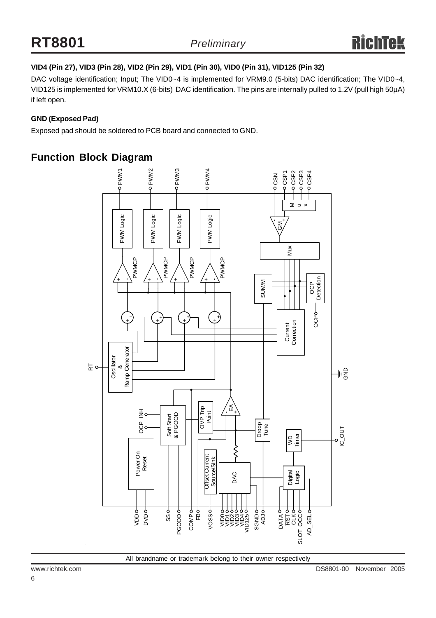### **VID4 (Pin 27), VID3 (Pin 28), VID2 (Pin 29), VID1 (Pin 30), VID0 (Pin 31), VID125 (Pin 32)**

DAC voltage identification; Input; The VID0~4 is implemented for VRM9.0 (5-bits) DAC identification; The VID0~4, VID125 is implemented for VRM10.X (6-bits) DAC identification. The pins are internally pulled to 1.2V (pull high 50μA) if left open.

### **GND (Exposed Pad)**

Exposed pad should be soldered to PCB board and connected to GND.

### **Function Block Diagram**

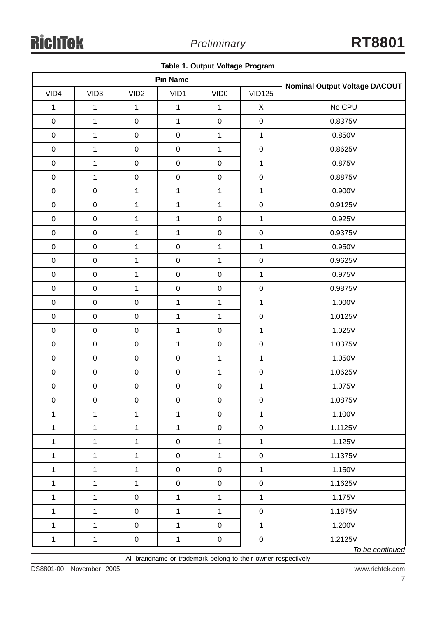|  |  |  |  | Table 1. Output Voltage Program |
|--|--|--|--|---------------------------------|
|--|--|--|--|---------------------------------|

| <b>Pin Name</b> |                  |                  |              |                  |               | <b>Nominal Output Voltage DACOUT</b> |
|-----------------|------------------|------------------|--------------|------------------|---------------|--------------------------------------|
| VID4            | VID <sub>3</sub> | VID <sub>2</sub> | VID1         | VID <sub>0</sub> | <b>VID125</b> |                                      |
| $\mathbf 1$     | $\mathbf{1}$     | $\mathbf{1}$     | $\mathbf 1$  | $\mathbf{1}$     | $\mathsf X$   | No CPU                               |
| $\pmb{0}$       | $\mathbf{1}$     | $\pmb{0}$        | $\mathbf{1}$ | $\boldsymbol{0}$ | $\mathbf 0$   | 0.8375V                              |
| $\pmb{0}$       | $\mathbf{1}$     | $\pmb{0}$        | $\mathbf 0$  | $\mathbf{1}$     | $\mathbf{1}$  | 0.850V                               |
| $\pmb{0}$       | $\mathbf{1}$     | $\mathbf 0$      | $\pmb{0}$    | $\mathbf{1}$     | $\mathbf 0$   | 0.8625V                              |
| $\pmb{0}$       | $\mathbf{1}$     | $\mathbf 0$      | $\pmb{0}$    | $\pmb{0}$        | $\mathbf{1}$  | 0.875V                               |
| $\pmb{0}$       | $\mathbf{1}$     | $\mathbf 0$      | $\mathbf 0$  | $\pmb{0}$        | $\mathsf 0$   | 0.8875V                              |
| $\mathbf 0$     | $\mathbf 0$      | $\mathbf{1}$     | $\mathbf 1$  | $\mathbf{1}$     | $\mathbf{1}$  | 0.900V                               |
| $\pmb{0}$       | $\pmb{0}$        | $\mathbf{1}$     | $\mathbf{1}$ | $\mathbf{1}$     | $\mathbf 0$   | 0.9125V                              |
| $\pmb{0}$       | $\pmb{0}$        | $\mathbf{1}$     | $\mathbf{1}$ | $\pmb{0}$        | $\mathbf{1}$  | 0.925V                               |
| $\pmb{0}$       | $\mathbf 0$      | $\mathbf{1}$     | $\mathbf{1}$ | $\pmb{0}$        | $\mathsf 0$   | 0.9375V                              |
| $\pmb{0}$       | $\pmb{0}$        | $\mathbf{1}$     | $\pmb{0}$    | $\mathbf{1}$     | $\mathbf 1$   | 0.950V                               |
| $\pmb{0}$       | $\pmb{0}$        | $\mathbf 1$      | $\pmb{0}$    | $\mathbf{1}$     | $\mathbf 0$   | 0.9625V                              |
| $\mathsf 0$     | $\mathbf 0$      | $\mathbf{1}$     | $\pmb{0}$    | $\pmb{0}$        | $\mathbf{1}$  | 0.975V                               |
| $\pmb{0}$       | $\pmb{0}$        | $\mathbf{1}$     | $\pmb{0}$    | $\pmb{0}$        | $\pmb{0}$     | 0.9875V                              |
| $\pmb{0}$       | $\pmb{0}$        | $\mathbf 0$      | $\mathbf{1}$ | $\mathbf{1}$     | $\mathbf{1}$  | 1.000V                               |
| $\pmb{0}$       | $\mathbf 0$      | $\pmb{0}$        | $\mathbf{1}$ | $\mathbf{1}$     | $\mathsf 0$   | 1.0125V                              |
| $\pmb{0}$       | $\mathbf 0$      | $\mathbf 0$      | $\mathbf{1}$ | $\pmb{0}$        | $\mathbf{1}$  | 1.025V                               |
| $\pmb{0}$       | $\pmb{0}$        | $\mathbf 0$      | $\mathbf{1}$ | $\pmb{0}$        | $\mathsf 0$   | 1.0375V                              |
| $\pmb{0}$       | $\mathbf 0$      | $\pmb{0}$        | $\mathbf 0$  | $\mathbf{1}$     | $\mathbf{1}$  | 1.050V                               |
| $\pmb{0}$       | $\mathbf 0$      | $\pmb{0}$        | $\pmb{0}$    | $\mathbf{1}$     | $\mathbf 0$   | 1.0625V                              |
| $\pmb{0}$       | $\mathbf 0$      | $\mathbf 0$      | $\mathbf 0$  | $\mathbf 0$      | $\mathbf{1}$  | 1.075V                               |
| $\pmb{0}$       | $\pmb{0}$        | $\pmb{0}$        | $\pmb{0}$    | $\pmb{0}$        | $\mathsf 0$   | 1.0875V                              |
| $\mathbf 1$     | $\mathbf{1}$     | $\mathbf{1}$     | 1            | $\pmb{0}$        | $\mathbf{1}$  | 1.100V                               |
| $\mathbf{1}$    | $\mathbf{1}$     | $\mathbf{1}$     | 1            | $\pmb{0}$        | $\mathbf 0$   | 1.1125V                              |
| $\mathbf{1}$    | $\mathbf{1}$     | $\mathbf{1}$     | $\pmb{0}$    | 1                | $\mathbf{1}$  | 1.125V                               |
| $\mathbf 1$     | $\mathbf{1}$     | $\mathbf{1}$     | $\pmb{0}$    | $\mathbf{1}$     | $\pmb{0}$     | 1.1375V                              |
| $\mathbf{1}$    | $\mathbf{1}$     | $\mathbf{1}$     | $\pmb{0}$    | $\pmb{0}$        | $\mathbf 1$   | 1.150V                               |
| $\mathbf 1$     | $\mathbf{1}$     | $\mathbf{1}$     | $\pmb{0}$    | $\pmb{0}$        | $\pmb{0}$     | 1.1625V                              |
| $\mathbf 1$     | $\mathbf{1}$     | $\pmb{0}$        | 1            | $\mathbf 1$      | $\mathbf{1}$  | 1.175V                               |
| $\mathbf{1}$    | $\mathbf{1}$     | $\pmb{0}$        | 1            | $\mathbf 1$      | $\pmb{0}$     | 1.1875V                              |
| $\mathbf{1}$    | $\mathbf{1}$     | $\pmb{0}$        | $\mathbf{1}$ | $\pmb{0}$        | $\mathbf{1}$  | 1.200V                               |
| $\mathbf 1$     | $\mathbf{1}$     | $\pmb{0}$        | 1            | $\pmb{0}$        | $\mathbf 0$   | 1.2125V                              |
|                 |                  |                  |              |                  |               | To be continued                      |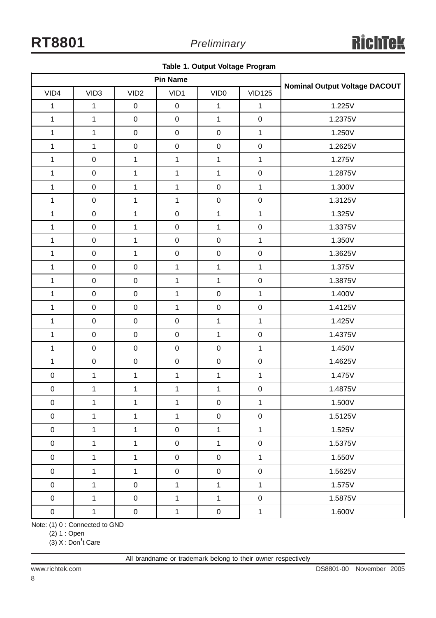**Table 1. Output Voltage Program**

|                     |                  | <b>Pin Name</b>     | <b>Nominal Output Voltage DACOUT</b> |                     |                  |         |
|---------------------|------------------|---------------------|--------------------------------------|---------------------|------------------|---------|
| VID4                | VID <sub>3</sub> | VID <sub>2</sub>    | VID1                                 | VID <sub>0</sub>    | <b>VID125</b>    |         |
| $\mathbf 1$         | $\mathbf{1}$     | $\pmb{0}$           | $\boldsymbol{0}$                     | $\mathbf{1}$        | $\mathbf{1}$     | 1.225V  |
| $\mathbf{1}$        | $\mathbf{1}$     | $\mathsf{O}\xspace$ | $\pmb{0}$                            | $\mathbf{1}$        | $\mathbf 0$      | 1.2375V |
| $\mathbf{1}$        | $\mathbf{1}$     | $\pmb{0}$           | $\pmb{0}$                            | $\mathsf 0$         | $\mathbf{1}$     | 1.250V  |
| $\mathbf 1$         | $\mathbf{1}$     | $\mathbf 0$         | $\pmb{0}$                            | $\mathbf 0$         | $\boldsymbol{0}$ | 1.2625V |
| $\mathbf{1}$        | $\mathbf 0$      | $\mathbf{1}$        | $\mathbf{1}$                         | $\mathbf{1}$        | $\mathbf{1}$     | 1.275V  |
| $\mathbf{1}$        | $\mathbf 0$      | $\mathbf{1}$        | $\mathbf{1}$                         | $\mathbf{1}$        | $\mathbf 0$      | 1.2875V |
| $\mathbf 1$         | $\mathbf 0$      | $\mathbf{1}$        | $\mathbf{1}$                         | $\mathbf 0$         | $\mathbf{1}$     | 1.300V  |
| $\mathbf 1$         | $\mathbf 0$      | $\mathbf{1}$        | $\mathbf{1}$                         | $\pmb{0}$           | $\pmb{0}$        | 1.3125V |
| $\overline{1}$      | $\mathbf 0$      | $\mathbf{1}$        | $\pmb{0}$                            | $\mathbf{1}$        | $\mathbf{1}$     | 1.325V  |
| $\mathbf 1$         | $\mathbf 0$      | $\mathbf{1}$        | $\pmb{0}$                            | $\mathbf{1}$        | $\pmb{0}$        | 1.3375V |
| $\mathbf{1}$        | $\mathbf 0$      | $\mathbf{1}$        | $\pmb{0}$                            | $\mathbf 0$         | $\mathbf{1}$     | 1.350V  |
| $\mathbf{1}$        | $\mathbf 0$      | $\mathbf{1}$        | $\pmb{0}$                            | $\mathbf 0$         | $\pmb{0}$        | 1.3625V |
| $\mathbf{1}$        | $\pmb{0}$        | $\mathbf 0$         | $\mathbf{1}$                         | $\mathbf{1}$        | $\mathbf{1}$     | 1.375V  |
| $\mathbf{1}$        | $\mathbf 0$      | $\mathsf{O}\xspace$ | $\mathbf{1}$                         | $\mathbf{1}$        | $\mathbf 0$      | 1.3875V |
| $\mathbf{1}$        | $\mathbf 0$      | $\mathbf 0$         | $\mathbf{1}$                         | $\mathbf 0$         | $\mathbf{1}$     | 1.400V  |
| $\mathbf{1}$        | $\pmb{0}$        | $\pmb{0}$           | $\mathbf{1}$                         | $\mathbf 0$         | $\pmb{0}$        | 1.4125V |
| $\mathbf{1}$        | $\pmb{0}$        | $\pmb{0}$           | $\pmb{0}$                            | $\mathbf{1}$        | $\mathbf 1$      | 1.425V  |
| $\mathbf{1}$        | $\mathbf 0$      | $\mathsf 0$         | $\pmb{0}$                            | $\mathbf{1}$        | $\pmb{0}$        | 1.4375V |
| $\mathbf{1}$        | $\mathbf 0$      | $\mathsf 0$         | $\pmb{0}$                            | $\mathbf 0$         | $\mathbf{1}$     | 1.450V  |
| $\mathbf{1}$        | $\mathbf 0$      | $\pmb{0}$           | $\pmb{0}$                            | $\mathbf 0$         | $\boldsymbol{0}$ | 1.4625V |
| $\pmb{0}$           | $\mathbf 1$      | $\mathbf{1}$        | $\mathbf{1}$                         | $\mathbf{1}$        | $\mathbf 1$      | 1.475V  |
| $\pmb{0}$           | $\mathbf 1$      | $\mathbf{1}$        | $\mathbf{1}$                         | $\mathbf{1}$        | $\pmb{0}$        | 1.4875V |
| $\boldsymbol{0}$    | $\mathbf{1}$     | $\mathbf{1}$        | $\mathbf{1}$                         | $\mathsf{O}\xspace$ | $\mathbf{1}$     | 1.500V  |
| $\mathbf 0$         | $\mathbf{1}$     | $\mathbf{1}$        | $\mathbf{1}$                         | $\pmb{0}$           | $\mathbf 0$      | 1.5125V |
| $\pmb{0}$           | $\mathbf{1}$     | $\mathbf{1}$        | $\pmb{0}$                            | $\mathbf{1}$        | $\mathbf{1}$     | 1.525V  |
| $\pmb{0}$           | $\mathbf{1}$     | $\mathbf{1}$        | $\mathbf 0$                          | $\mathbf{1}$        | $\mathsf 0$      | 1.5375V |
| $\mathsf{O}\xspace$ | $\mathbf{1}$     | $\mathbf{1}$        | $\mathbf 0$                          | $\mathbf 0$         | $\mathbf{1}$     | 1.550V  |
| $\mathbf 0$         | $\mathbf{1}$     | $\mathbf{1}$        | $\mathbf 0$                          | $\mathsf 0$         | $\pmb{0}$        | 1.5625V |
| $\pmb{0}$           | $\mathbf{1}$     | $\pmb{0}$           | $\mathbf{1}$                         | $\mathbf{1}$        | $\mathbf{1}$     | 1.575V  |
| $\pmb{0}$           | $\mathbf{1}$     | $\pmb{0}$           | $\mathbf{1}$                         | $\mathbf{1}$        | $\pmb{0}$        | 1.5875V |
| $\pmb{0}$           | $\mathbf{1}$     | $\boldsymbol{0}$    | $\mathbf{1}$                         | $\mathbf 0$         | $\mathbf 1$      | 1.600V  |

Note: (1) 0 : Connected to GND

(2) 1 : Open

(3) X : Don't Care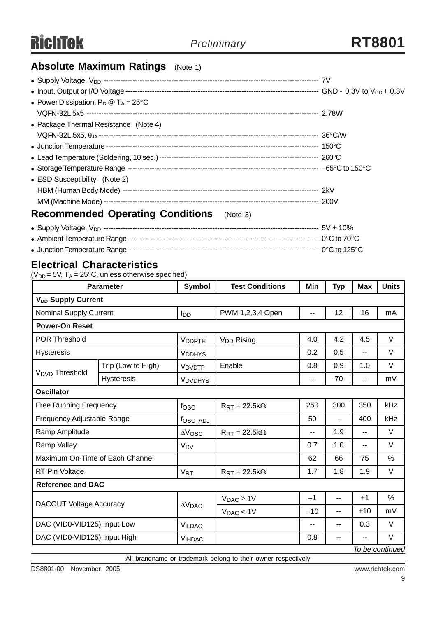### **Absolute Maximum Ratings** (Note 1)

| • Power Dissipation, $P_D @ T_A = 25^{\circ}C$      |  |
|-----------------------------------------------------|--|
|                                                     |  |
| • Package Thermal Resistance (Note 4)               |  |
|                                                     |  |
|                                                     |  |
|                                                     |  |
|                                                     |  |
| • ESD Susceptibility (Note 2)                       |  |
|                                                     |  |
|                                                     |  |
| <b>Recommended Operating Conditions</b><br>(Note 3) |  |
|                                                     |  |

<sup>z</sup> Ambient Temperature Range------------------------------------------------------------------------------- 0°C to 70°C

### <sup>z</sup> Junction Temperature Range------------------------------------------------------------------------------- 0°C to 125°C

### **Electrical Characteristics**

 $(V_{DD} = 5V, T_A = 25^{\circ}C,$  unless otherwise specified)

|                                 | <b>Parameter</b>   | <b>Symbol</b>         | <b>Test Conditions</b>                | Min   | <b>Typ</b>               | <b>Max</b> | <b>Units</b>    |
|---------------------------------|--------------------|-----------------------|---------------------------------------|-------|--------------------------|------------|-----------------|
| V <sub>DD</sub> Supply Current  |                    |                       |                                       |       |                          |            |                 |
| <b>Nominal Supply Current</b>   |                    | I <sub>DD</sub>       | PWM 1,2,3,4 Open                      | $-$   | 12                       | 16         | mA              |
| <b>Power-On Reset</b>           |                    |                       |                                       |       |                          |            |                 |
| <b>POR Threshold</b>            |                    | <b>VDDRTH</b>         | V <sub>DD</sub> Rising                | 4.0   | 4.2                      | 4.5        | V               |
| <b>Hysteresis</b>               |                    | <b>VDDHYS</b>         |                                       | 0.2   | 0.5                      | $-$        | V               |
| V <sub>DVD</sub> Threshold      | Trip (Low to High) | V <sub>DVDTP</sub>    | Enable                                | 0.8   | 0.9                      | 1.0        | $\vee$          |
|                                 | <b>Hysteresis</b>  | <b>VDVDHYS</b>        |                                       | --    | 70                       | --         | mV              |
| <b>Oscillator</b>               |                    |                       |                                       |       |                          |            |                 |
| <b>Free Running Frequency</b>   |                    | fosc                  | $R_{\rm RT} = 22.5 k\Omega$           | 250   | 300                      | 350        | kHz             |
| Frequency Adjustable Range      |                    | fosc_ADJ              |                                       | 50    | $\overline{\phantom{a}}$ | 400        | kHz             |
| Ramp Amplitude                  |                    | $\Delta V$ OSC        | $R_{\text{RT}} = 22.5 \text{k}\Omega$ | --    | 1.9                      | --         | $\vee$          |
| Ramp Valley                     |                    | V <sub>RV</sub>       |                                       | 0.7   | 1.0                      | --         | V               |
| Maximum On-Time of Each Channel |                    |                       |                                       | 62    | 66                       | 75         | $\%$            |
| RT Pin Voltage                  |                    | <b>V<sub>RT</sub></b> | $R_{\text{RT}} = 22.5 \text{k}\Omega$ | 1.7   | 1.8                      | 1.9        | $\vee$          |
| <b>Reference and DAC</b>        |                    |                       |                                       |       |                          |            |                 |
| <b>DACOUT Voltage Accuracy</b>  |                    |                       | $V_{DAC} \geq 1V$                     | $-1$  | --                       | $+1$       | %               |
|                                 |                    | $\Delta V$ DAC        | $V_{DAC}$ < $1V$                      | $-10$ | --                       | $+10$      | mV              |
| DAC (VID0-VID125) Input Low     |                    | <b>VILDAC</b>         |                                       | --    | --                       | 0.3        | $\vee$          |
| DAC (VID0-VID125) Input High    |                    | <b>VIHDAC</b>         |                                       | 0.8   | $\overline{\phantom{a}}$ | --         | V               |
|                                 |                    |                       |                                       |       |                          |            | To be continued |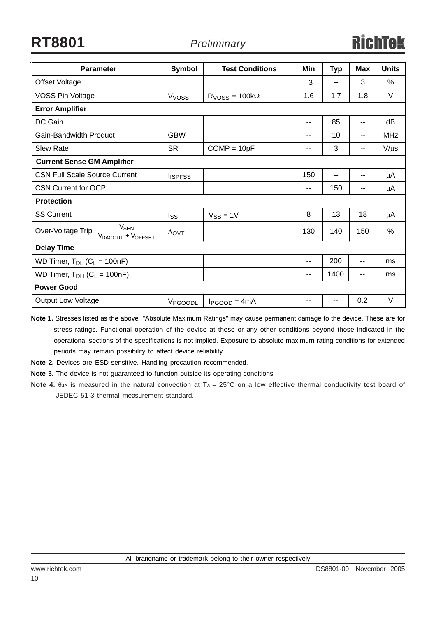| <b>Parameter</b>                                                                   | Symbol            | <b>Test Conditions</b> | Min                      | <b>Typ</b> | <b>Max</b> | <b>Units</b> |
|------------------------------------------------------------------------------------|-------------------|------------------------|--------------------------|------------|------------|--------------|
| Offset Voltage                                                                     |                   |                        | $-3$                     | --         | 3          | $\%$         |
| <b>VOSS Pin Voltage</b>                                                            | V <sub>VOSS</sub> | $RVOSS = 100k\Omega$   | 1.6                      | 1.7        | 1.8        | V            |
| <b>Error Amplifier</b>                                                             |                   |                        |                          |            |            |              |
| DC Gain                                                                            |                   |                        | --                       | 85         | --         | dB           |
| Gain-Bandwidth Product                                                             | <b>GBW</b>        |                        | --                       | 10         | --         | <b>MHz</b>   |
| <b>Slew Rate</b>                                                                   | <b>SR</b>         | $COMP = 10pF$          | --                       | 3          | --         | $V/\mu s$    |
| <b>Current Sense GM Amplifier</b>                                                  |                   |                        |                          |            |            |              |
| <b>CSN Full Scale Source Current</b>                                               | <b>I</b> ISPFSS   |                        | 150                      | --         | --         | μA           |
| <b>CSN Current for OCP</b>                                                         |                   |                        | $\overline{\phantom{a}}$ | 150        | --         | μA           |
| <b>Protection</b>                                                                  |                   |                        |                          |            |            |              |
| <b>SS Current</b>                                                                  | Iss               | $V_{SS} = 1V$          | 8                        | 13         | 18         | μA           |
| V <sub>SEN</sub><br>Over-Voltage Trip<br>V <sub>DACOUT</sub> + V <sub>OFFSET</sub> | $\Delta$ OVT      |                        | 130                      | 140        | 150        | $\%$         |
| <b>Delay Time</b>                                                                  |                   |                        |                          |            |            |              |
| WD Timer, $T_{DL}$ ( $C_L$ = 100nF)                                                |                   |                        | $\overline{\phantom{a}}$ | 200        | $-$        | ms           |
| WD Timer, $T_{DH}$ ( $C_L$ = 100nF)                                                |                   |                        | $\sim$ $\sim$            | 1400       | --         | ms           |
| <b>Power Good</b>                                                                  |                   |                        |                          |            |            |              |
| <b>Output Low Voltage</b>                                                          | VPGOODL           | $I_{PGOOD} = 4mA$      | --                       | --         | 0.2        | $\vee$       |

**Note 1.** Stresses listed as the above "Absolute Maximum Ratings" may cause permanent damage to the device. These are for stress ratings. Functional operation of the device at these or any other conditions beyond those indicated in the operational sections of the specifications is not implied. Exposure to absolute maximum rating conditions for extended periods may remain possibility to affect device reliability.

**Note 2.** Devices are ESD sensitive. Handling precaution recommended.

**Note 3.** The device is not guaranteed to function outside its operating conditions.

**Note 4.** θ<sub>JA</sub> is measured in the natural convection at T<sub>A</sub> = 25°C on a low effective thermal conductivity test board of JEDEC 51-3 thermal measurement standard.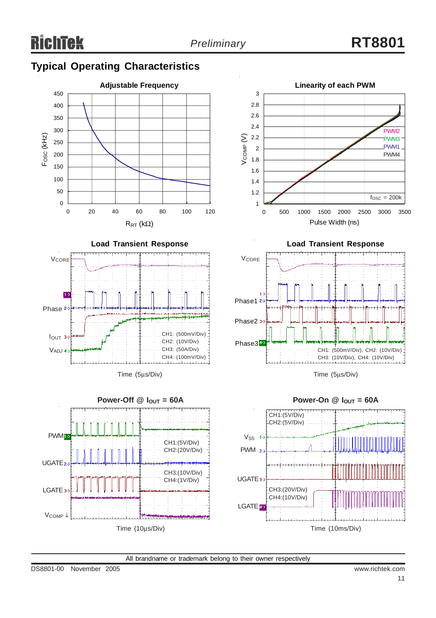3

### **Typical Operating Characteristics**





**Linearity of each PWM**

Time (5μs/Div)

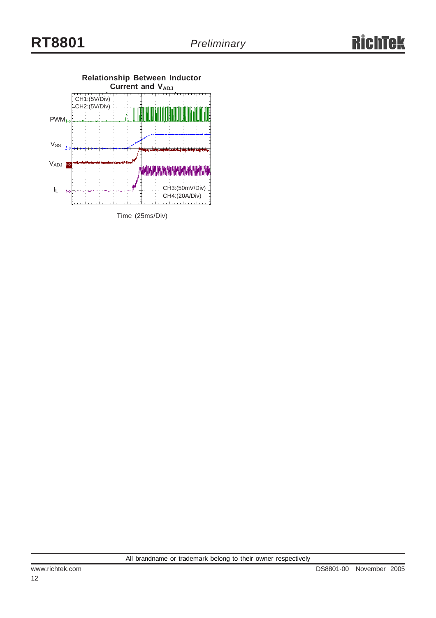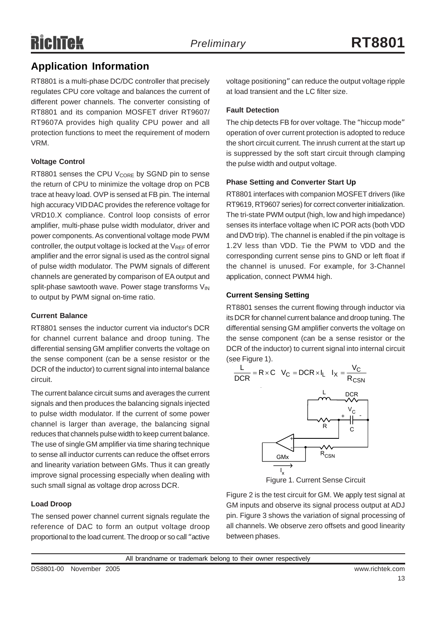### **Application Information**

RT8801 is a multi-phase DC/DC controller that precisely regulates CPU core voltage and balances the current of different power channels. The converter consisting of RT8801 and its companion MOSFET driver RT9607/ RT9607A provides high quality CPU power and all protection functions to meet the requirement of modern VRM.

### **Voltage Control**

RT8801 senses the CPU  $V_{\text{CORE}}$  by SGND pin to sense the return of CPU to minimize the voltage drop on PCB trace at heavy load. OVP is sensed at FB pin. The internal high accuracy VID DAC provides the reference voltage for VRD10.X compliance. Control loop consists of error amplifier, multi-phase pulse width modulator, driver and power components. As conventional voltage mode PWM controller, the output voltage is locked at the  $V_{REF}$  of error amplifier and the error signal is used as the control signal of pulse width modulator. The PWM signals of different channels are generated by comparison of EA output and split-phase sawtooth wave. Power stage transforms VIN to output by PWM signal on-time ratio.

### **Current Balance**

RT8801 senses the inductor current via inductor's DCR for channel current balance and droop tuning. The differential sensing GM amplifier converts the voltage on the sense component (can be a sense resistor or the DCR of the inductor) to current signal into internal balance circuit.

The current balance circuit sums and averages the current signals and then produces the balancing signals injected to pulse width modulator. If the current of some power channel is larger than average, the balancing signal reduces that channels pulse width to keep current balance. The use of single GM amplifier via time sharing technique to sense all inductor currents can reduce the offset errors and linearity variation between GMs. Thus it can greatly improve signal processing especially when dealing with such small signal as voltage drop across DCR.

### **Load Droop**

The sensed power channel current signals regulate the reference of DAC to form an output voltage droop proportional to the load current. The droop or so call "active

voltage positioning" can reduce the output voltage ripple at load transient and the LC filter size.

### **Fault Detection**

The chip detects FB for over voltage. The "hiccup mode" operation of over current protection is adopted to reduce the short circuit current. The inrush current at the start up is suppressed by the soft start circuit through clamping the pulse width and output voltage.

### **Phase Setting and Converter Start Up**

RT8801 interfaces with companion MOSFET drivers (like RT9619, RT9607 series) for correct converter initialization. The tri-state PWM output (high, low and high impedance) senses its interface voltage when IC POR acts (both VDD and DVD trip). The channel is enabled if the pin voltage is 1.2V less than VDD. Tie the PWM to VDD and the corresponding current sense pins to GND or left float if the channel is unused. For example, for 3-Channel application, connect PWM4 high.

### **Current Sensing Setting**

RT8801 senses the current flowing through inductor via its DCR for channel current balance and droop tuning. The differential sensing GM amplifier converts the voltage on the sense component (can be a sense resistor or the DCR of the inductor) to current signal into internal circuit (see Figure 1).



Figure 1. Current Sense Circuit

Figure 2 is the test circuit for GM. We apply test signal at GM inputs and observe its signal process output at ADJ pin. Figure 3 shows the variation of signal processing of all channels. We observe zero offsets and good linearity between phases.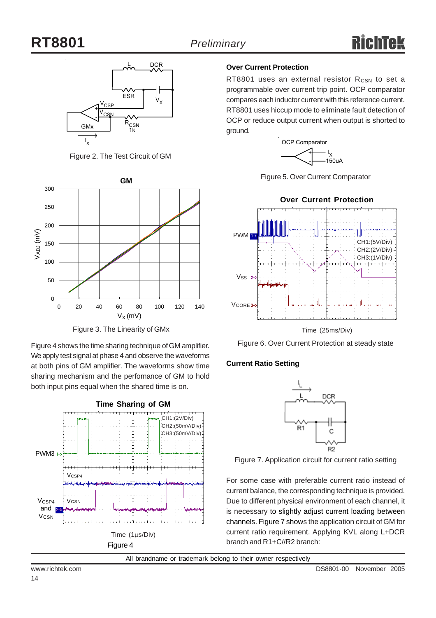

Figure 2. The Test Circuit of GM



Figure 3. The Linearity of GMx

Figure 4 shows the time sharing technique of GM amplifier. We apply test signal at phase 4 and observe the waveforms at both pins of GM amplifier. The waveforms show time sharing mechanism and the perfomance of GM to hold both input pins equal when the shared time is on.



### **Over Current Protection**

RT8801 uses an external resistor  $R_{CSN}$  to set a programmable over current trip point. OCP comparator compares each inductor current with this reference current. RT8801 uses hiccup mode to eliminate fault detection of OCP or reduce output current when output is shorted to ground.



Figure 5. Over Current Comparator



Figure 6. Over Current Protection at steady state

### **Current Ratio Setting**



Figure 7. Application circuit for current ratio setting

For some case with preferable current ratio instead of current balance, the corresponding technique is provided. Due to different physical environment of each channel, it is necessary to slightly adjust current loading between channels. Figure 7 shows the application circuit of GM for current ratio requirement. Applying KVL along L+DCR branch and R1+C//R2 branch: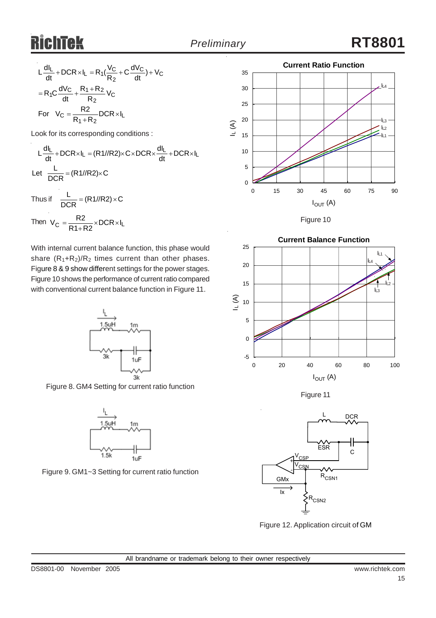$$
L\frac{dl_L}{dt} + DCR \times I_L = R_1(\frac{V_C}{R_2} + C\frac{dV_C}{dt}) + V_C
$$

$$
= R_1C\frac{dV_C}{dt} + \frac{R_1 + R_2}{R_2}V_C
$$
  
For  $V_C = \frac{R_2}{R_1 + R_2}DCR \times I_L$ 

Look for its corresponding conditions :

$$
L\frac{dl_L}{dt} + DCR \times I_L = (R1 // R2) \times C \times DCR \times \frac{dl_L}{dt} + DCR \times I_L
$$
  
Let 
$$
\frac{L}{DCR} = (R1 // R2) \times C
$$
  
Thus if 
$$
\frac{L}{DCR} = (R1 // R2) \times C
$$

Then 
$$
V_C = \frac{R2}{R1 + R2} \times DCR \times I_L
$$

With internal current balance function, this phase would share  $(R_1+R_2)/R_2$  times current than other phases. Figure 8 & 9 show different settings for the power stages. Figure 10 shows the performance of current ratio compared with conventional current balance function in Figure 11.



Figure 8. GM4 Setting for current ratio function



Figure 9. GM1~3 Setting for current ratio function



Figure 10



Figure 11



Figure 12. Application circuit of GM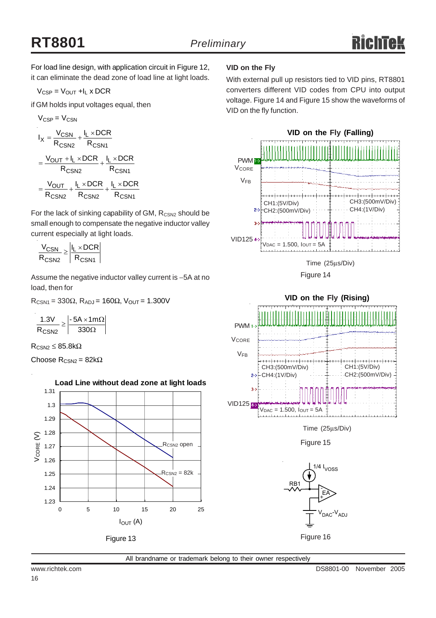# **RT8801** *Preliminary*

For load line design, with application circuit in Figure 12, it can eliminate the dead zone of load line at light loads.

$$
V_{CSP} = V_{OUT} + I_L \times DCR
$$

if GM holds input voltages equal, then

$$
V_{CSP} = V_{CSN}
$$
\n
$$
I_X = \frac{V_{CSN}}{R_{CSN2}} + \frac{I_L \times DCR}{R_{CSN1}}
$$
\n
$$
= \frac{V_{OUT} + I_L \times DCR}{R_{CSN2}} + \frac{I_L \times DCR}{R_{CSN1}}
$$
\n
$$
= \frac{V_{OUT}}{R_{CSN2}} + \frac{I_L \times DCR}{R_{CSN2}} + \frac{I_L \times DCR}{R_{CSN1}}
$$

For the lack of sinking capability of GM, R<sub>CSN2</sub> should be small enough to compensate the negative inductor valley current especially at light loads.

$$
\frac{V_{CSN}}{R_{CSN2}} \ge \left|\frac{I_L \times DCR}{R_{CSN1}}\right|
$$

Assume the negative inductor valley current is −5A at no load, then for

 $R_{CSN1} = 330Ω$ ,  $R_{ADJ} = 160Ω$ ,  $V_{OUT} = 1.300V$ 

|     | $-5A \times 1m\Omega$ |
|-----|-----------------------|
| J2. | उउा । ।               |

 $R_{CSM2} \leq 85.8k\Omega$ 

Choose  $R_{CSN2} = 82k\Omega$ 



### **VID on the Fly**

With external pull up resistors tied to VID pins, RT8801 converters different VID codes from CPU into output voltage. Figure 14 and Figure 15 show the waveforms of VID on the fly function.



Figure 14



Time (25μs/Div)

Figure 15



All brandname or trademark belong to their owner respectively

16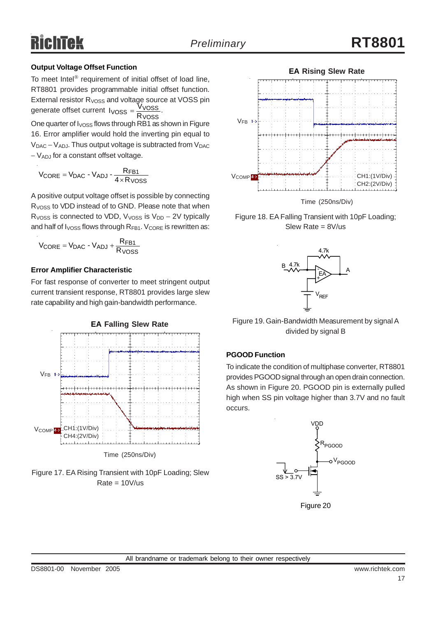### **Output Voltage Offset Function**

To meet Intel® requirement of initial offset of load line, RT8801 provides programmable initial offset function. External resistor  $R_{VOSS}$  and voltage source at VOSS pin<br>concepte offset current  $R_{VOSS} = \frac{VVOSS}{VUSS}$ generate offset current  $V$ <sub>OSS</sub> =  $\frac{V}{R}$ <sup>V</sup>OSS.  $I_{VOSS} = \frac{V_{VOSS}}{R_{VOSS}}$ 

One quarter of  $I_{VOSS}$  flows through RB1 as shown in Figure 16. Error amplifier would hold the inverting pin equal to  $V_{DAC} - V_{ADJ}$ . Thus output voltage is subtracted from  $V_{DAC}$ − VADJ for a constant offset voltage.

$$
V_{\text{CORE}} = V_{\text{DAC}} - V_{\text{ADJ}} - \frac{R_{\text{FB1}}}{4 \times R_{\text{VOSS}}}
$$

A positive output voltage offset is possible by connecting R<sub>VOSS</sub> to VDD instead of to GND. Please note that when R<sub>VOSS</sub> is connected to VDD, V<sub>VOSS</sub> is V<sub>DD</sub> – 2V typically and half of  $I_{VOSS}$  flows through  $R_{FB1}$ .  $V_{CORE}$  is rewritten as:

$$
V_{\text{CORE}} = V_{\text{DAC}} - V_{\text{ADI}} + \frac{R_{\text{FB1}}}{R_{\text{VOSS}}}
$$

#### **Error Amplifier Characteristic**

For fast response of converter to meet stringent output current transient response, RT8801 provides large slew rate capability and high gain-bandwidth performance.







Figure 18. EA Falling Transient with 10pF Loading; Slew Rate = 8V/us



Figure 19. Gain-Bandwidth Measurement by signal A divided by signal B

### **PGOOD Function**

To indicate the condition of multiphase converter, RT8801 provides PGOOD signal through an open drain connection. As shown in Figure 20. PGOOD pin is externally pulled high when SS pin voltage higher than 3.7V and no fault occurs.

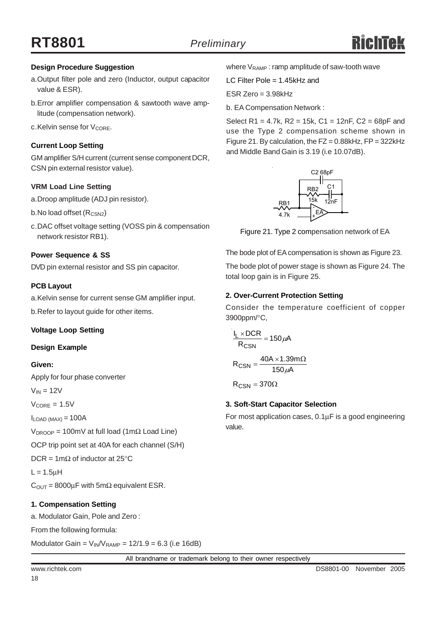### **Design Procedure Suggestion**

- a.Output filter pole and zero (Inductor, output capacitor value & ESR).
- b.Error amplifier compensation & sawtooth wave amplitude (compensation network).
- $c$ . Kelvin sense for  $V_{\text{CORE}}$ .

### **Current Loop Setting**

GM amplifier S/H current (current sense component DCR, CSN pin external resistor value).

#### **VRM Load Line Setting**

- a.Droop amplitude (ADJ pin resistor).
- b.No load offset (R<sub>CSN2</sub>)
- c.DAC offset voltage setting (VOSS pin & compensation network resistor RB1).

#### **Power Sequence & SS**

DVD pin external resistor and SS pin capacitor.

#### **PCB Layout**

a.Kelvin sense for current sense GM amplifier input.

b.Refer to layout guide for other items.

#### **Voltage Loop Setting**

#### **Design Example**

#### **Given:**

Apply for four phase converter

 $V_{IN} = 12V$ 

 $V_{\text{CORE}} = 1.5V$ 

 $I_{LOAD (MAX)} = 100A$ 

 $V_{DROOP}$  = 100mV at full load (1mΩ Load Line)

OCP trip point set at 40A for each channel (S/H)

DCR = 1m $\Omega$  of inductor at 25°C

 $L = 1.5$ uH

 $C_{\text{OUT}} = 8000 \mu F$  with 5m $\Omega$  equivalent ESR.

#### **1. Compensation Setting**

a. Modulator Gain, Pole and Zero :

From the following formula:

Modulator Gain =  $V_{IN}/V_{RAMP}$  = 12/1.9 = 6.3 (i.e 16dB)

where  $V_{\text{RAMP}}$ : ramp amplitude of saw-tooth wave

LC Filter Pole = 1.45kHz and

 $ESR$  Zero = 3.98 $kHz$ 

b. EA Compensation Network :

Select R1 = 4.7k, R2 = 15k, C1 = 12nF, C2 = 68pF and use the Type 2 compensation scheme shown in Figure 21. By calculation, the  $FZ = 0.88$ kHz,  $FP = 322$ kHz and Middle Band Gain is 3.19 (i.e 10.07dB).



Figure 21. Type 2 compensation network of EA

The bode plot of EA compensation is shown as Figure 23.

The bode plot of power stage is shown as Figure 24. The total loop gain is in Figure 25.

#### **2. Over-Current Protection Setting**

Consider the temperature coefficient of copper 3900ppm/°C,

$$
\frac{I_L \times DCR}{R_{CSN}} = 150 \,\mu\text{A}
$$

 $R_{\text{CSN}} = \frac{40A \times 1.39m\Omega}{150 \mu A}$ 

 $\mathsf{R}_{\mathsf{CSN}} = 370\Omega$ 

#### **3. Soft-Start Capacitor Selection**

For most application cases, 0.1μF is a good engineering value.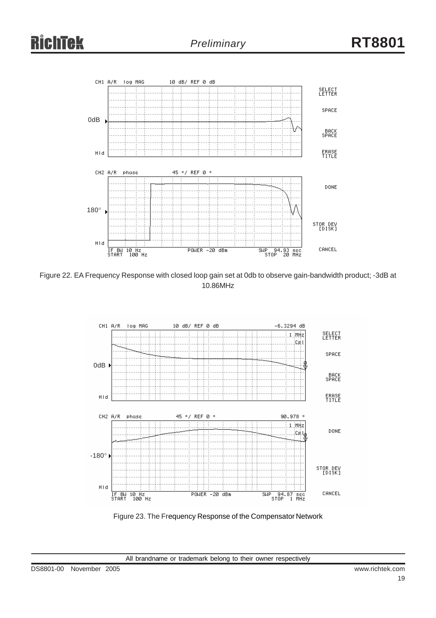

Figure 22. EA Frequency Response with closed loop gain set at 0db to observe gain-bandwidth product; -3dB at 10.86MHz



Figure 23. The Frequency Response of the Compensator Network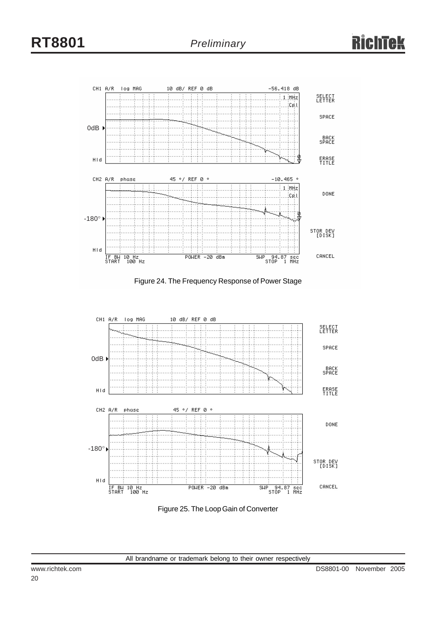





Figure 25. The Loop Gain of Converter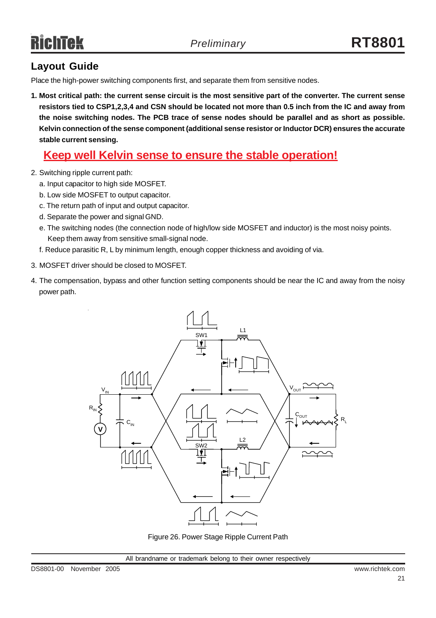### **Layout Guide**

Place the high-power switching components first, and separate them from sensitive nodes.

**1. Most critical path: the current sense circuit is the most sensitive part of the converter. The current sense resistors tied to CSP1,2,3,4 and CSN should be located not more than 0.5 inch from the IC and away from the noise switching nodes. The PCB trace of sense nodes should be parallel and as short as possible. Kelvin connection of the sense component (additional sense resistor or Inductor DCR) ensures the accurate stable current sensing.**

### **Keep well Kelvin sense to ensure the stable operation!**

- 2. Switching ripple current path:
	- a. Input capacitor to high side MOSFET.
	- b. Low side MOSFET to output capacitor.
	- c. The return path of input and output capacitor.
	- d. Separate the power and signal GND.
	- e. The switching nodes (the connection node of high/low side MOSFET and inductor) is the most noisy points. Keep them away from sensitive small-signal node.
	- f. Reduce parasitic R, L by minimum length, enough copper thickness and avoiding of via.
- 3. MOSFET driver should be closed to MOSFET.
- 4. The compensation, bypass and other function setting components should be near the IC and away from the noisy power path.



Figure 26. Power Stage Ripple Current Path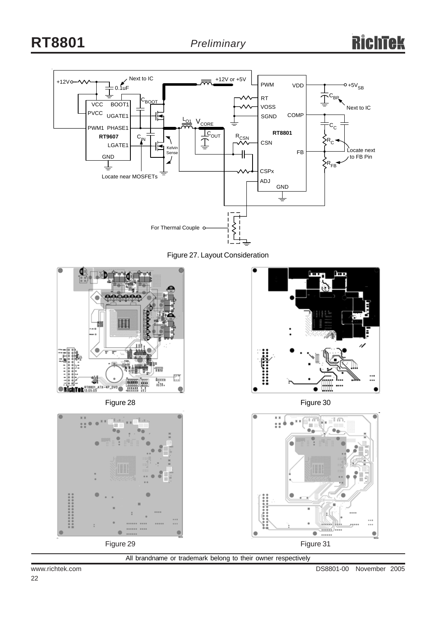











Figure 30